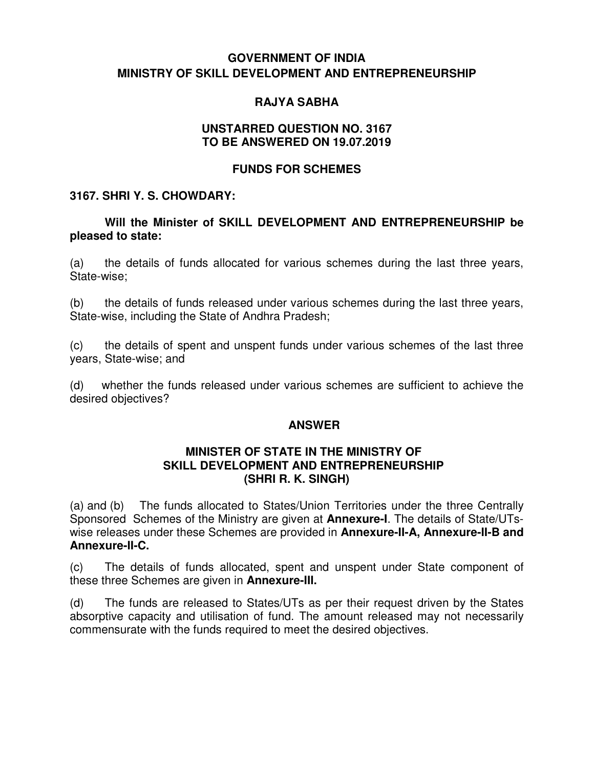## **GOVERNMENT OF INDIA MINISTRY OF SKILL DEVELOPMENT AND ENTREPRENEURSHIP**

### **RAJYA SABHA**

#### **UNSTARRED QUESTION NO. 3167 TO BE ANSWERED ON 19.07.2019**

### **FUNDS FOR SCHEMES**

### **3167. SHRI Y. S. CHOWDARY:**

### **Will the Minister of SKILL DEVELOPMENT AND ENTREPRENEURSHIP be pleased to state:**

(a) the details of funds allocated for various schemes during the last three years, State-wise;

(b) the details of funds released under various schemes during the last three years, State-wise, including the State of Andhra Pradesh;

(c) the details of spent and unspent funds under various schemes of the last three years, State-wise; and

(d) whether the funds released under various schemes are sufficient to achieve the desired objectives?

#### **ANSWER**

#### **MINISTER OF STATE IN THE MINISTRY OF SKILL DEVELOPMENT AND ENTREPRENEURSHIP (SHRI R. K. SINGH)**

(a) and (b) The funds allocated to States/Union Territories under the three Centrally Sponsored Schemes of the Ministry are given at **Annexure-I**. The details of State/UTswise releases under these Schemes are provided in **Annexure-II-A, Annexure-II-B and Annexure-II-C.** 

(c) The details of funds allocated, spent and unspent under State component of these three Schemes are given in **Annexure-III.** 

(d) The funds are released to States/UTs as per their request driven by the States absorptive capacity and utilisation of fund. The amount released may not necessarily commensurate with the funds required to meet the desired objectives.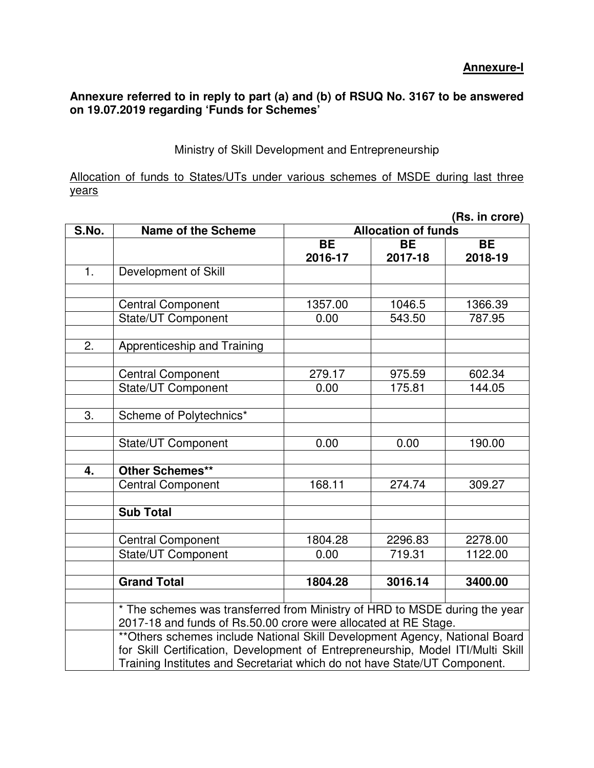Ministry of Skill Development and Entrepreneurship

Allocation of funds to States/UTs under various schemes of MSDE during last three years

|       | (Rs. in crore)                                                                                                                                |                            |           |           |  |  |  |
|-------|-----------------------------------------------------------------------------------------------------------------------------------------------|----------------------------|-----------|-----------|--|--|--|
| S.No. | <b>Name of the Scheme</b>                                                                                                                     | <b>Allocation of funds</b> |           |           |  |  |  |
|       |                                                                                                                                               | <b>BE</b>                  | <b>BE</b> | <b>BE</b> |  |  |  |
|       |                                                                                                                                               | 2016-17                    | 2017-18   | 2018-19   |  |  |  |
| 1.    | Development of Skill                                                                                                                          |                            |           |           |  |  |  |
|       |                                                                                                                                               |                            |           |           |  |  |  |
|       | <b>Central Component</b>                                                                                                                      | 1357.00                    | 1046.5    | 1366.39   |  |  |  |
|       | <b>State/UT Component</b>                                                                                                                     | 0.00                       | 543.50    | 787.95    |  |  |  |
|       |                                                                                                                                               |                            |           |           |  |  |  |
| 2.    | Apprenticeship and Training                                                                                                                   |                            |           |           |  |  |  |
|       |                                                                                                                                               |                            |           |           |  |  |  |
|       | <b>Central Component</b>                                                                                                                      | 279.17                     | 975.59    | 602.34    |  |  |  |
|       | <b>State/UT Component</b>                                                                                                                     | 0.00                       | 175.81    | 144.05    |  |  |  |
|       |                                                                                                                                               |                            |           |           |  |  |  |
| 3.    | Scheme of Polytechnics*                                                                                                                       |                            |           |           |  |  |  |
|       |                                                                                                                                               |                            |           |           |  |  |  |
|       | State/UT Component                                                                                                                            | 0.00                       | 0.00      | 190.00    |  |  |  |
|       |                                                                                                                                               |                            |           |           |  |  |  |
| 4.    | <b>Other Schemes**</b>                                                                                                                        |                            |           |           |  |  |  |
|       | <b>Central Component</b>                                                                                                                      | 168.11                     | 274.74    | 309.27    |  |  |  |
|       |                                                                                                                                               |                            |           |           |  |  |  |
|       | <b>Sub Total</b>                                                                                                                              |                            |           |           |  |  |  |
|       |                                                                                                                                               |                            |           |           |  |  |  |
|       | <b>Central Component</b>                                                                                                                      | 1804.28                    | 2296.83   | 2278.00   |  |  |  |
|       | State/UT Component                                                                                                                            | 0.00                       | 719.31    | 1122.00   |  |  |  |
|       | <b>Grand Total</b>                                                                                                                            |                            |           |           |  |  |  |
|       |                                                                                                                                               | 1804.28                    | 3016.14   | 3400.00   |  |  |  |
|       |                                                                                                                                               |                            |           |           |  |  |  |
|       | * The schemes was transferred from Ministry of HRD to MSDE during the year<br>2017-18 and funds of Rs.50.00 crore were allocated at RE Stage. |                            |           |           |  |  |  |
|       | ** Others schemes include National Skill Development Agency, National Board                                                                   |                            |           |           |  |  |  |
|       | for Skill Certification, Development of Entrepreneurship, Model ITI/Multi Skill                                                               |                            |           |           |  |  |  |
|       | Training Institutes and Secretariat which do not have State/UT Component.                                                                     |                            |           |           |  |  |  |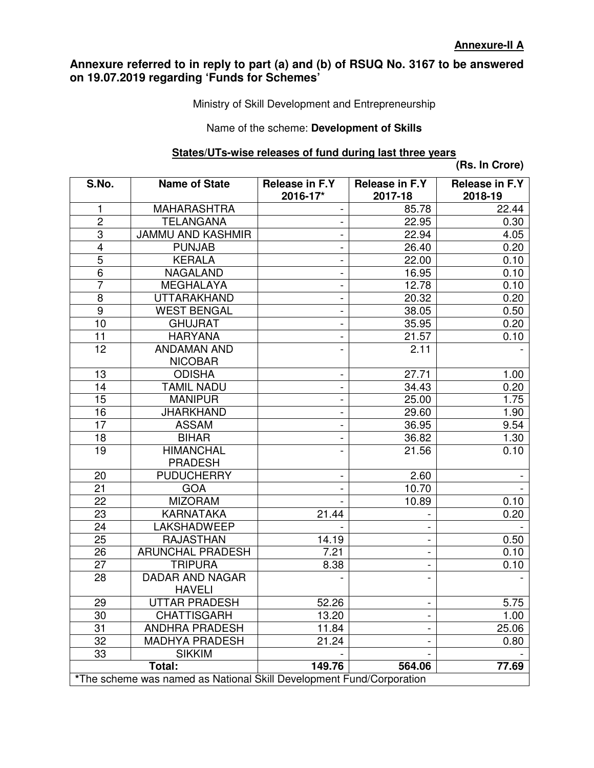Ministry of Skill Development and Entrepreneurship

#### Name of the scheme: **Development of Skills**

#### **States/UTs-wise releases of fund during last three years**

**(Rs. In Crore)** 

| S.No.                                                                | <b>Name of State</b>                 | Release in F.Y<br>2016-17*   | <b>Release in F.Y</b><br>2017-18 | <b>Release in F.Y</b><br>2018-19 |  |  |
|----------------------------------------------------------------------|--------------------------------------|------------------------------|----------------------------------|----------------------------------|--|--|
| 1                                                                    | <b>MAHARASHTRA</b>                   |                              | 85.78                            | 22.44                            |  |  |
| $\overline{2}$                                                       | <b>TELANGANA</b>                     | -                            | 22.95                            | 0.30                             |  |  |
| $\overline{3}$                                                       | <b>JAMMU AND KASHMIR</b>             | $\overline{\phantom{0}}$     | 22.94                            | 4.05                             |  |  |
| $\overline{\mathbf{4}}$                                              | <b>PUNJAB</b>                        | -                            | 26.40                            | 0.20                             |  |  |
| $\overline{5}$                                                       | <b>KERALA</b>                        | $\qquad \qquad \blacksquare$ | 22.00                            | 0.10                             |  |  |
| 6                                                                    | <b>NAGALAND</b>                      | $\qquad \qquad \blacksquare$ | 16.95                            | 0.10                             |  |  |
| $\overline{7}$                                                       | <b>MEGHALAYA</b>                     | -                            | 12.78                            | 0.10                             |  |  |
| 8                                                                    | <b>UTTARAKHAND</b>                   | -                            | 20.32                            | 0.20                             |  |  |
| 9                                                                    | <b>WEST BENGAL</b>                   |                              | 38.05                            | 0.50                             |  |  |
| 10                                                                   | <b>GHUJRAT</b>                       | $\overline{\phantom{0}}$     | 35.95                            | 0.20                             |  |  |
| 11                                                                   | <b>HARYANA</b>                       | -                            | 21.57                            | 0.10                             |  |  |
| 12                                                                   | <b>ANDAMAN AND</b><br><b>NICOBAR</b> | $\overline{a}$               | 2.11                             |                                  |  |  |
| 13                                                                   | <b>ODISHA</b>                        | $\blacksquare$               | 27.71                            | 1.00                             |  |  |
| 14                                                                   | <b>TAMIL NADU</b>                    |                              | 34.43                            | 0.20                             |  |  |
| 15                                                                   | <b>MANIPUR</b>                       | $\overline{\phantom{0}}$     | 25.00                            | 1.75                             |  |  |
| $\overline{16}$                                                      | <b>JHARKHAND</b>                     | $\qquad \qquad \blacksquare$ | 29.60                            | 1.90                             |  |  |
| 17                                                                   | <b>ASSAM</b>                         | -                            | 36.95                            | 9.54                             |  |  |
| 18                                                                   | <b>BIHAR</b>                         | -                            | 36.82                            | 1.30                             |  |  |
| 19                                                                   | <b>HIMANCHAL</b><br><b>PRADESH</b>   |                              | 21.56                            | 0.10                             |  |  |
| 20                                                                   | <b>PUDUCHERRY</b>                    | $\qquad \qquad -$            | 2.60                             |                                  |  |  |
| 21                                                                   | <b>GOA</b>                           |                              | 10.70                            |                                  |  |  |
| 22                                                                   | <b>MIZORAM</b>                       |                              | 10.89                            | 0.10                             |  |  |
| 23                                                                   | <b>KARNATAKA</b>                     | 21.44                        |                                  | 0.20                             |  |  |
| 24                                                                   | <b>LAKSHADWEEP</b>                   |                              |                                  |                                  |  |  |
| 25                                                                   | <b>RAJASTHAN</b>                     | 14.19                        |                                  | 0.50                             |  |  |
| 26                                                                   | <b>ARUNCHAL PRADESH</b>              | 7.21                         |                                  | 0.10                             |  |  |
| 27                                                                   | <b>TRIPURA</b>                       | 8.38                         | $\blacksquare$                   | 0.10                             |  |  |
| 28                                                                   | <b>DADAR AND NAGAR</b>               |                              |                                  |                                  |  |  |
|                                                                      | <b>HAVELI</b>                        |                              |                                  |                                  |  |  |
| 29                                                                   | <b>UTTAR PRADESH</b>                 | 52.26                        |                                  | 5.75                             |  |  |
| 30                                                                   | <b>CHATTISGARH</b>                   | 13.20                        |                                  | 1.00                             |  |  |
| 31                                                                   | <b>ANDHRA PRADESH</b>                | 11.84                        |                                  | 25.06                            |  |  |
| 32                                                                   | <b>MADHYA PRADESH</b>                | 21.24                        | $\qquad \qquad \blacksquare$     | 0.80                             |  |  |
| 33                                                                   | <b>SIKKIM</b>                        |                              |                                  |                                  |  |  |
|                                                                      | Total:                               | 149.76                       | 564.06                           | 77.69                            |  |  |
| *The scheme was named as National Skill Development Fund/Corporation |                                      |                              |                                  |                                  |  |  |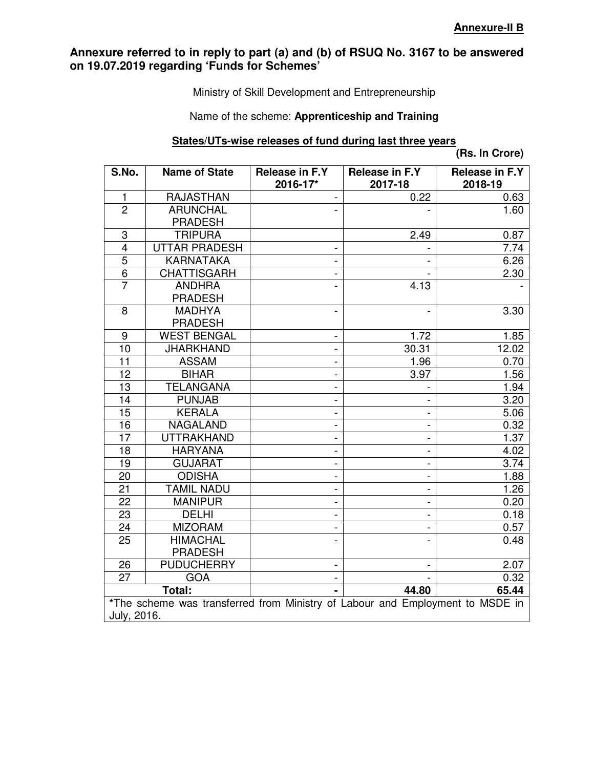Ministry of Skill Development and Entrepreneurship

### Name of the scheme: **Apprenticeship and Training**

### **States/UTs-wise releases of fund during last three years**

**(Rs. In Crore)** 

| S.No.                   | <b>Name of State</b>                                                          | Release in F.Y<br>2016-17* | Release in F.Y<br>2017-18 | <b>Release in F.Y</b><br>2018-19 |  |  |  |
|-------------------------|-------------------------------------------------------------------------------|----------------------------|---------------------------|----------------------------------|--|--|--|
| 1                       | <b>RAJASTHAN</b>                                                              |                            | 0.22                      | 0.63                             |  |  |  |
| $\overline{2}$          | <b>ARUNCHAL</b><br><b>PRADESH</b>                                             |                            |                           | 1.60                             |  |  |  |
| 3                       | <b>TRIPURA</b>                                                                |                            | 2.49                      | 0.87                             |  |  |  |
| $\overline{\mathbf{4}}$ | <b>UTTAR PRADESH</b>                                                          |                            |                           | 7.74                             |  |  |  |
| $\overline{5}$          | <b>KARNATAKA</b>                                                              |                            |                           | 6.26                             |  |  |  |
| $\overline{6}$          | <b>CHATTISGARH</b>                                                            |                            |                           | 2.30                             |  |  |  |
| $\overline{7}$          | <b>ANDHRA</b><br><b>PRADESH</b>                                               |                            | 4.13                      |                                  |  |  |  |
| 8                       | <b>MADHYA</b><br><b>PRADESH</b>                                               |                            |                           | 3.30                             |  |  |  |
| $\boldsymbol{9}$        | <b>WEST BENGAL</b>                                                            |                            | 1.72                      | 1.85                             |  |  |  |
| 10                      | <b>JHARKHAND</b>                                                              |                            | 30.31                     | 12.02                            |  |  |  |
| $\overline{11}$         | <b>ASSAM</b>                                                                  |                            | 1.96                      | 0.70                             |  |  |  |
| 12                      | <b>BIHAR</b>                                                                  |                            | 3.97                      | 1.56                             |  |  |  |
| 13                      | <b>TELANGANA</b>                                                              |                            |                           | 1.94                             |  |  |  |
| 14                      | <b>PUNJAB</b>                                                                 |                            |                           | 3.20                             |  |  |  |
| 15                      | <b>KERALA</b>                                                                 |                            |                           | 5.06                             |  |  |  |
| 16                      | <b>NAGALAND</b>                                                               |                            |                           | 0.32                             |  |  |  |
| 17                      | <b>UTTRAKHAND</b>                                                             |                            |                           | 1.37                             |  |  |  |
| 18                      | <b>HARYANA</b>                                                                |                            |                           | 4.02                             |  |  |  |
| 19                      | <b>GUJARAT</b>                                                                |                            |                           | 3.74                             |  |  |  |
| 20                      | <b>ODISHA</b>                                                                 |                            |                           | 1.88                             |  |  |  |
| 21                      | <b>TAMIL NADU</b>                                                             |                            |                           | 1.26                             |  |  |  |
| 22                      | <b>MANIPUR</b>                                                                |                            |                           | 0.20                             |  |  |  |
| 23                      | <b>DELHI</b>                                                                  |                            |                           | 0.18                             |  |  |  |
| 24                      | <b>MIZORAM</b>                                                                |                            |                           | 0.57                             |  |  |  |
| 25                      | <b>HIMACHAL</b>                                                               |                            |                           | 0.48                             |  |  |  |
|                         | <b>PRADESH</b>                                                                |                            |                           |                                  |  |  |  |
| 26                      | <b>PUDUCHERRY</b>                                                             |                            |                           | 2.07                             |  |  |  |
| $\overline{27}$         | <b>GOA</b>                                                                    |                            |                           | 0.32                             |  |  |  |
|                         | Total:                                                                        |                            | 44.80                     | 65.44                            |  |  |  |
|                         | *The scheme was transferred from Ministry of Labour and Employment to MSDE in |                            |                           |                                  |  |  |  |
| July, 2016.             |                                                                               |                            |                           |                                  |  |  |  |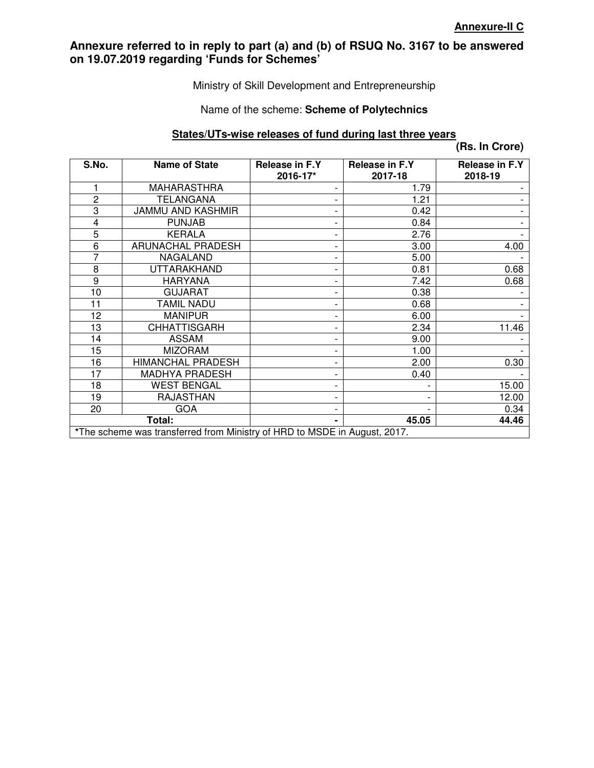### Ministry of Skill Development and Entrepreneurship

#### Name of the scheme: **Scheme of Polytechnics**

#### **States/UTs-wise releases of fund during last three years**

**(Rs. In Crore)** 

| S.No.                                                                     | <b>Name of State</b>     | Release in F.Y<br>2016-17* | Release in F.Y<br>2017-18 | Release in F.Y<br>2018-19 |  |  |
|---------------------------------------------------------------------------|--------------------------|----------------------------|---------------------------|---------------------------|--|--|
| 1                                                                         | <b>MAHARASTHRA</b>       |                            | 1.79                      |                           |  |  |
| $\overline{c}$                                                            | TELANGANA                |                            | 1.21                      |                           |  |  |
| 3                                                                         | JAMMU AND KASHMIR        |                            | 0.42                      |                           |  |  |
| $\overline{\mathbf{4}}$                                                   | <b>PUNJAB</b>            |                            | 0.84                      |                           |  |  |
| 5                                                                         | <b>KERALA</b>            |                            | 2.76                      |                           |  |  |
| 6                                                                         | <b>ARUNACHAL PRADESH</b> |                            | 3.00                      | 4.00                      |  |  |
| $\overline{7}$                                                            | <b>NAGALAND</b>          |                            | 5.00                      |                           |  |  |
| 8                                                                         | UTTARAKHAND              |                            | 0.81                      | 0.68                      |  |  |
| 9                                                                         | <b>HARYANA</b>           |                            | 7.42                      | 0.68                      |  |  |
| 10                                                                        | <b>GUJARAT</b>           |                            | 0.38                      |                           |  |  |
| 11                                                                        | <b>TAMIL NADU</b>        |                            | 0.68                      |                           |  |  |
| 12                                                                        | <b>MANIPUR</b>           |                            | 6.00                      |                           |  |  |
| 13                                                                        | <b>CHHATTISGARH</b>      |                            | 2.34                      | 11.46                     |  |  |
| 14                                                                        | <b>ASSAM</b>             |                            | 9.00                      |                           |  |  |
| 15                                                                        | <b>MIZORAM</b>           |                            | 1.00                      |                           |  |  |
| 16                                                                        | <b>HIMANCHAL PRADESH</b> |                            | 2.00                      | 0.30                      |  |  |
| 17                                                                        | <b>MADHYA PRADESH</b>    |                            | 0.40                      |                           |  |  |
| 18                                                                        | <b>WEST BENGAL</b>       |                            |                           | 15.00                     |  |  |
| 19                                                                        | <b>RAJASTHAN</b>         |                            | $\overline{\phantom{a}}$  | 12.00                     |  |  |
| 20                                                                        | <b>GOA</b>               |                            |                           | 0.34                      |  |  |
|                                                                           | Total:                   |                            | 45.05                     | 44.46                     |  |  |
| *The scheme was transferred from Ministry of HRD to MSDE in August, 2017. |                          |                            |                           |                           |  |  |